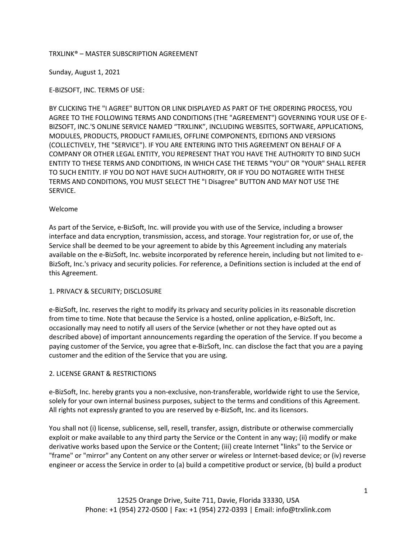## TRXLINK® – MASTER SUBSCRIPTION AGREEMENT

Sunday, August 1, 2021

E-BIZSOFT, INC. TERMS OF USE:

BY CLICKING THE "I AGREE" BUTTON OR LINK DISPLAYED AS PART OF THE ORDERING PROCESS, YOU AGREE TO THE FOLLOWING TERMS AND CONDITIONS (THE "AGREEMENT") GOVERNING YOUR USE OF E-BIZSOFT, INC.'S ONLINE SERVICE NAMED "TRXLINK", INCLUDING WEBSITES, SOFTWARE, APPLICATIONS, MODULES, PRODUCTS, PRODUCT FAMILIES, OFFLINE COMPONENTS, EDITIONS AND VERSIONS (COLLECTIVELY, THE "SERVICE"). IF YOU ARE ENTERING INTO THIS AGREEMENT ON BEHALF OF A COMPANY OR OTHER LEGAL ENTITY, YOU REPRESENT THAT YOU HAVE THE AUTHORITY TO BIND SUCH ENTITY TO THESE TERMS AND CONDITIONS, IN WHICH CASE THE TERMS "YOU" OR "YOUR" SHALL REFER TO SUCH ENTITY. IF YOU DO NOT HAVE SUCH AUTHORITY, OR IF YOU DO NOTAGREE WITH THESE TERMS AND CONDITIONS, YOU MUST SELECT THE "I Disagree" BUTTON AND MAY NOT USE THE SERVICE.

#### Welcome

As part of the Service, e-BizSoft, Inc. will provide you with use of the Service, including a browser interface and data encryption, transmission, access, and storage. Your registration for, or use of, the Service shall be deemed to be your agreement to abide by this Agreement including any materials available on the e-BizSoft, Inc. website incorporated by reference herein, including but not limited to e-BizSoft, Inc.'s privacy and security policies. For reference, a Definitions section is included at the end of this Agreement.

#### 1. PRIVACY & SECURITY; DISCLOSURE

e-BizSoft, Inc. reserves the right to modify its privacy and security policies in its reasonable discretion from time to time. Note that because the Service is a hosted, online application, e-BizSoft, Inc. occasionally may need to notify all users of the Service (whether or not they have opted out as described above) of important announcements regarding the operation of the Service. If you become a paying customer of the Service, you agree that e-BizSoft, Inc. can disclose the fact that you are a paying customer and the edition of the Service that you are using.

## 2. LICENSE GRANT & RESTRICTIONS

e-BizSoft, Inc. hereby grants you a non-exclusive, non-transferable, worldwide right to use the Service, solely for your own internal business purposes, subject to the terms and conditions of this Agreement. All rights not expressly granted to you are reserved by e-BizSoft, Inc. and its licensors.

You shall not (i) license, sublicense, sell, resell, transfer, assign, distribute or otherwise commercially exploit or make available to any third party the Service or the Content in any way; (ii) modify or make derivative works based upon the Service or the Content; (iii) create Internet "links" to the Service or "frame" or "mirror" any Content on any other server or wireless or Internet-based device; or (iv) reverse engineer or access the Service in order to (a) build a competitive product or service, (b) build a product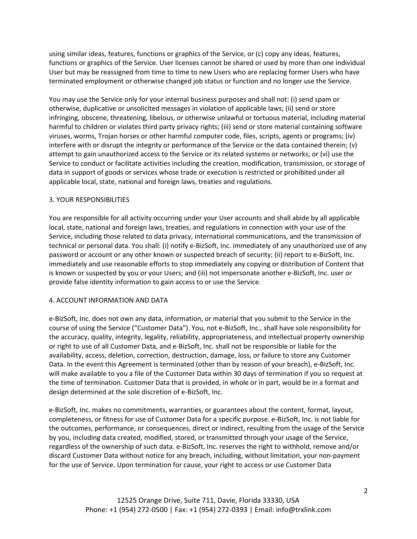using similar ideas, features, functions or graphics of the Service, or (c) copy any ideas, features, functions or graphics of the Service. User licenses cannot be shared or used by more than one individual User but may be reassigned from time to time to new Users who are replacing former Users who have terminated employment or otherwise changed job status or function and no longer use the Service.

You may use the Service only for your internal business purposes and shall not: (i) send spam or otherwise, duplicative or unsolicited messages in violation of applicable laws; (ii) send or store infringing, obscene, threatening, libelous, or otherwise unlawful or tortuous material, including material harmful to children or violates third party privacy rights; (iii) send or store material containing software viruses, worms, Trojan horses or other harmful computer code, files, scripts, agents or programs; (iv) interfere with or disrupt the integrity or performance of the Service or the data contained therein; (v) attempt to gain unauthorized access to the Service or its related systems or networks; or (vi) use the Service to conduct or facilitate activities including the creation, modification, transmission, or storage of data in support of goods or services whose trade or execution is restricted or prohibited under all applicable local, state, national and foreign laws, treaties and regulations.

#### 3. YOUR RESPONSIBILITIES

You are responsible for all activity occurring under your User accounts and shall abide by all applicable local, state, national and foreign laws, treaties, and regulations in connection with your use of the Service, including those related to data privacy, international communications, and the transmission of technical or personal data. You shall: (i) notify e-BizSoft, Inc. immediately of any unauthorized use of any password or account or any other known or suspected breach of security; (ii) report to e-BizSoft, Inc. immediately and use reasonable efforts to stop immediately any copying or distribution of Content that is known or suspected by you or your Users; and (iii) not impersonate another e-BizSoft, Inc. user or provide false identity information to gain access to or use the Service.

#### 4. ACCOUNT INFORMATION AND DATA

e-BizSoft, Inc. does not own any data, information, or material that you submit to the Service in the course of using the Service ("Customer Data"). You, not e-BizSoft, Inc., shall have sole responsibility for the accuracy, quality, integrity, legality, reliability, appropriateness, and intellectual property ownership or right to use of all Customer Data, and e-BizSoft, Inc. shall not be responsible or liable for the availability, access, deletion, correction, destruction, damage, loss, or failure to store any Customer Data. In the event this Agreement is terminated (other than by reason of your breach), e-BizSoft, Inc. will make available to you a file of the Customer Data within 30 days of termination if you so request at the time of termination. Customer Data that is provided, in whole or in part, would be in a format and design determined at the sole discretion of e-BizSoft, Inc.

e-BizSoft, Inc. makes no commitments, warranties, or guarantees about the content, format, layout, completeness, or fitness for use of Customer Data for a specific purpose. e-BizSoft, Inc. is not liable for the outcomes, performance, or consequences, direct or indirect, resulting from the usage of the Service by you, including data created, modified, stored, or transmitted through your usage of the Service, regardless of the ownership of such data. e-BizSoft, Inc. reserves the right to withhold, remove and/or discard Customer Data without notice for any breach, including, without limitation, your non-payment for the use of Service. Upon termination for cause, your right to access or use Customer Data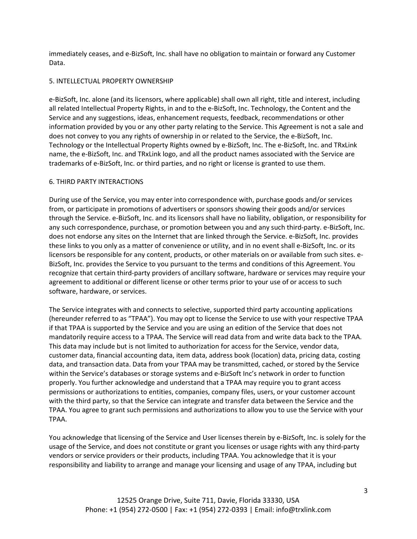immediately ceases, and e-BizSoft, Inc. shall have no obligation to maintain or forward any Customer Data.

## 5. INTELLECTUAL PROPERTY OWNERSHIP

e-BizSoft, Inc. alone (and its licensors, where applicable) shall own all right, title and interest, including all related Intellectual Property Rights, in and to the e-BizSoft, Inc. Technology, the Content and the Service and any suggestions, ideas, enhancement requests, feedback, recommendations or other information provided by you or any other party relating to the Service. This Agreement is not a sale and does not convey to you any rights of ownership in or related to the Service, the e-BizSoft, Inc. Technology or the Intellectual Property Rights owned by e-BizSoft, Inc. The e-BizSoft, Inc. and TRxLink name, the e-BizSoft, Inc. and TRxLink logo, and all the product names associated with the Service are trademarks of e-BizSoft, Inc. or third parties, and no right or license is granted to use them.

## 6. THIRD PARTY INTERACTIONS

During use of the Service, you may enter into correspondence with, purchase goods and/or services from, or participate in promotions of advertisers or sponsors showing their goods and/or services through the Service. e-BizSoft, Inc. and its licensors shall have no liability, obligation, or responsibility for any such correspondence, purchase, or promotion between you and any such third-party. e-BizSoft, Inc. does not endorse any sites on the Internet that are linked through the Service. e-BizSoft, Inc. provides these links to you only as a matter of convenience or utility, and in no event shall e-BizSoft, Inc. or its licensors be responsible for any content, products, or other materials on or available from such sites. e-BizSoft, Inc. provides the Service to you pursuant to the terms and conditions of this Agreement. You recognize that certain third-party providers of ancillary software, hardware or services may require your agreement to additional or different license or other terms prior to your use of or access to such software, hardware, or services.

The Service integrates with and connects to selective, supported third party accounting applications (hereunder referred to as "TPAA"). You may opt to license the Service to use with your respective TPAA if that TPAA is supported by the Service and you are using an edition of the Service that does not mandatorily require access to a TPAA. The Service will read data from and write data back to the TPAA. This data may include but is not limited to authorization for access for the Service, vendor data, customer data, financial accounting data, item data, address book (location) data, pricing data, costing data, and transaction data. Data from your TPAA may be transmitted, cached, or stored by the Service within the Service's databases or storage systems and e-BizSoft Inc's network in order to function properly. You further acknowledge and understand that a TPAA may require you to grant access permissions or authorizations to entities, companies, company files, users, or your customer account with the third party, so that the Service can integrate and transfer data between the Service and the TPAA. You agree to grant such permissions and authorizations to allow you to use the Service with your TPAA.

You acknowledge that licensing of the Service and User licenses therein by e-BizSoft, Inc. is solely for the usage of the Service, and does not constitute or grant you licenses or usage rights with any third-party vendors or service providers or their products, including TPAA. You acknowledge that it is your responsibility and liability to arrange and manage your licensing and usage of any TPAA, including but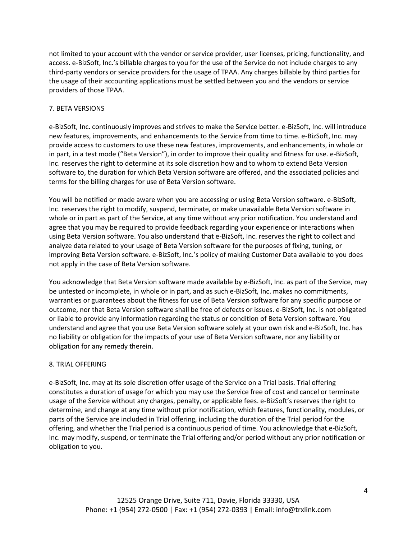not limited to your account with the vendor or service provider, user licenses, pricing, functionality, and access. e-BizSoft, Inc.'s billable charges to you for the use of the Service do not include charges to any third-party vendors or service providers for the usage of TPAA. Any charges billable by third parties for the usage of their accounting applications must be settled between you and the vendors or service providers of those TPAA.

# 7. BETA VERSIONS

e-BizSoft, Inc. continuously improves and strives to make the Service better. e-BizSoft, Inc. will introduce new features, improvements, and enhancements to the Service from time to time. e-BizSoft, Inc. may provide access to customers to use these new features, improvements, and enhancements, in whole or in part, in a test mode ("Beta Version"), in order to improve their quality and fitness for use. e-BizSoft, Inc. reserves the right to determine at its sole discretion how and to whom to extend Beta Version software to, the duration for which Beta Version software are offered, and the associated policies and terms for the billing charges for use of Beta Version software.

You will be notified or made aware when you are accessing or using Beta Version software. e-BizSoft, Inc. reserves the right to modify, suspend, terminate, or make unavailable Beta Version software in whole or in part as part of the Service, at any time without any prior notification. You understand and agree that you may be required to provide feedback regarding your experience or interactions when using Beta Version software. You also understand that e-BizSoft, Inc. reserves the right to collect and analyze data related to your usage of Beta Version software for the purposes of fixing, tuning, or improving Beta Version software. e-BizSoft, Inc.'s policy of making Customer Data available to you does not apply in the case of Beta Version software.

You acknowledge that Beta Version software made available by e-BizSoft, Inc. as part of the Service, may be untested or incomplete, in whole or in part, and as such e-BizSoft, Inc. makes no commitments, warranties or guarantees about the fitness for use of Beta Version software for any specific purpose or outcome, nor that Beta Version software shall be free of defects or issues. e-BizSoft, Inc. is not obligated or liable to provide any information regarding the status or condition of Beta Version software. You understand and agree that you use Beta Version software solely at your own risk and e-BizSoft, Inc. has no liability or obligation for the impacts of your use of Beta Version software, nor any liability or obligation for any remedy therein.

## 8. TRIAL OFFERING

e-BizSoft, Inc. may at its sole discretion offer usage of the Service on a Trial basis. Trial offering constitutes a duration of usage for which you may use the Service free of cost and cancel or terminate usage of the Service without any charges, penalty, or applicable fees. e-BizSoft's reserves the right to determine, and change at any time without prior notification, which features, functionality, modules, or parts of the Service are included in Trial offering, including the duration of the Trial period for the offering, and whether the Trial period is a continuous period of time. You acknowledge that e-BizSoft, Inc. may modify, suspend, or terminate the Trial offering and/or period without any prior notification or obligation to you.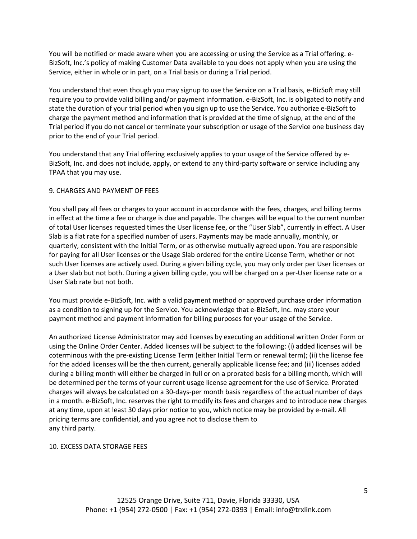You will be notified or made aware when you are accessing or using the Service as a Trial offering. e-BizSoft, Inc.'s policy of making Customer Data available to you does not apply when you are using the Service, either in whole or in part, on a Trial basis or during a Trial period.

You understand that even though you may signup to use the Service on a Trial basis, e-BizSoft may still require you to provide valid billing and/or payment information. e-BizSoft, Inc. is obligated to notify and state the duration of your trial period when you sign up to use the Service. You authorize e-BizSoft to charge the payment method and information that is provided at the time of signup, at the end of the Trial period if you do not cancel or terminate your subscription or usage of the Service one business day prior to the end of your Trial period.

You understand that any Trial offering exclusively applies to your usage of the Service offered by e-BizSoft, Inc. and does not include, apply, or extend to any third-party software or service including any TPAA that you may use.

## 9. CHARGES AND PAYMENT OF FEES

You shall pay all fees or charges to your account in accordance with the fees, charges, and billing terms in effect at the time a fee or charge is due and payable. The charges will be equal to the current number of total User licenses requested times the User license fee, or the "User Slab", currently in effect. A User Slab is a flat rate for a specified number of users. Payments may be made annually, monthly, or quarterly, consistent with the Initial Term, or as otherwise mutually agreed upon. You are responsible for paying for all User licenses or the Usage Slab ordered for the entire License Term, whether or not such User licenses are actively used. During a given billing cycle, you may only order per User licenses or a User slab but not both. During a given billing cycle, you will be charged on a per-User license rate or a User Slab rate but not both.

You must provide e-BizSoft, Inc. with a valid payment method or approved purchase order information as a condition to signing up for the Service. You acknowledge that e-BizSoft, Inc. may store your payment method and payment information for billing purposes for your usage of the Service.

An authorized License Administrator may add licenses by executing an additional written Order Form or using the Online Order Center. Added licenses will be subject to the following: (i) added licenses will be coterminous with the pre-existing License Term (either Initial Term or renewal term); (ii) the license fee for the added licenses will be the then current, generally applicable license fee; and (iii) licenses added during a billing month will either be charged in full or on a prorated basis for a billing month, which will be determined per the terms of your current usage license agreement for the use of Service. Prorated charges will always be calculated on a 30-days-per month basis regardless of the actual number of days in a month. e-BizSoft, Inc. reserves the right to modify its fees and charges and to introduce new charges at any time, upon at least 30 days prior notice to you, which notice may be provided by e-mail. All pricing terms are confidential, and you agree not to disclose them to any third party.

10. EXCESS DATA STORAGE FEES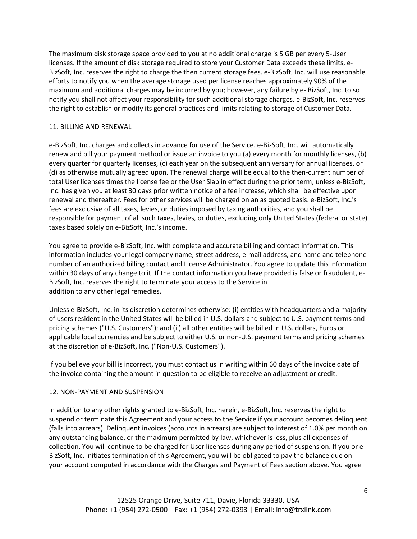The maximum disk storage space provided to you at no additional charge is 5 GB per every 5-User licenses. If the amount of disk storage required to store your Customer Data exceeds these limits, e-BizSoft, Inc. reserves the right to charge the then current storage fees. e-BizSoft, Inc. will use reasonable efforts to notify you when the average storage used per license reaches approximately 90% of the maximum and additional charges may be incurred by you; however, any failure by e- BizSoft, Inc. to so notify you shall not affect your responsibility for such additional storage charges. e-BizSoft, Inc. reserves the right to establish or modify its general practices and limits relating to storage of Customer Data.

### 11. BILLING AND RENEWAL

e-BizSoft, Inc. charges and collects in advance for use of the Service. e-BizSoft, Inc. will automatically renew and bill your payment method or issue an invoice to you (a) every month for monthly licenses, (b) every quarter for quarterly licenses, (c) each year on the subsequent anniversary for annual licenses, or (d) as otherwise mutually agreed upon. The renewal charge will be equal to the then-current number of total User licenses times the license fee or the User Slab in effect during the prior term, unless e-BizSoft, Inc. has given you at least 30 days prior written notice of a fee increase, which shall be effective upon renewal and thereafter. Fees for other services will be charged on an as quoted basis. e-BizSoft, Inc.'s fees are exclusive of all taxes, levies, or duties imposed by taxing authorities, and you shall be responsible for payment of all such taxes, levies, or duties, excluding only United States (federal or state) taxes based solely on e-BizSoft, Inc.'s income.

You agree to provide e-BizSoft, Inc. with complete and accurate billing and contact information. This information includes your legal company name, street address, e-mail address, and name and telephone number of an authorized billing contact and License Administrator. You agree to update this information within 30 days of any change to it. If the contact information you have provided is false or fraudulent, e-BizSoft, Inc. reserves the right to terminate your access to the Service in addition to any other legal remedies.

Unless e-BizSoft, Inc. in its discretion determines otherwise: (i) entities with headquarters and a majority of users resident in the United States will be billed in U.S. dollars and subject to U.S. payment terms and pricing schemes ("U.S. Customers"); and (ii) all other entities will be billed in U.S. dollars, Euros or applicable local currencies and be subject to either U.S. or non-U.S. payment terms and pricing schemes at the discretion of e-BizSoft, Inc. ("Non-U.S. Customers").

If you believe your bill is incorrect, you must contact us in writing within 60 days of the invoice date of the invoice containing the amount in question to be eligible to receive an adjustment or credit.

## 12. NON-PAYMENT AND SUSPENSION

In addition to any other rights granted to e-BizSoft, Inc. herein, e-BizSoft, Inc. reserves the right to suspend or terminate this Agreement and your access to the Service if your account becomes delinquent (falls into arrears). Delinquent invoices (accounts in arrears) are subject to interest of 1.0% per month on any outstanding balance, or the maximum permitted by law, whichever is less, plus all expenses of collection. You will continue to be charged for User licenses during any period of suspension. If you or e-BizSoft, Inc. initiates termination of this Agreement, you will be obligated to pay the balance due on your account computed in accordance with the Charges and Payment of Fees section above. You agree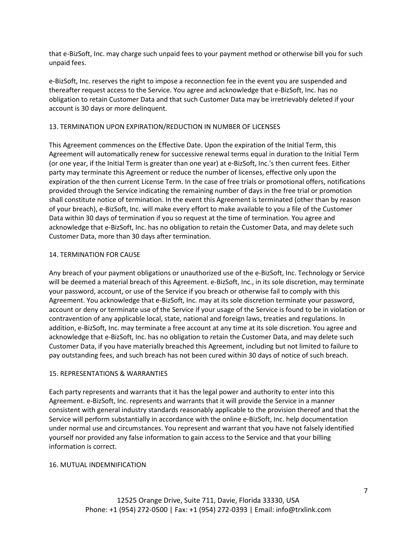that e-BizSoft, Inc. may charge such unpaid fees to your payment method or otherwise bill you for such unpaid fees.

e-BizSoft, Inc. reserves the right to impose a reconnection fee in the event you are suspended and thereafter request access to the Service. You agree and acknowledge that e-BizSoft, Inc. has no obligation to retain Customer Data and that such Customer Data may be irretrievably deleted if your account is 30 days or more delinquent.

## 13. TERMINATION UPON EXPIRATION/REDUCTION IN NUMBER OF LICENSES

This Agreement commences on the Effective Date. Upon the expiration of the Initial Term, this Agreement will automatically renew for successive renewal terms equal in duration to the Initial Term (or one year, if the Initial Term is greater than one year) at e-BizSoft, Inc.'s then current fees. Either party may terminate this Agreement or reduce the number of licenses, effective only upon the expiration of the then current License Term. In the case of free trials or promotional offers, notifications provided through the Service indicating the remaining number of days in the free trial or promotion shall constitute notice of termination. In the event this Agreement is terminated (other than by reason of your breach), e-BizSoft, Inc. will make every effort to make available to you a file of the Customer Data within 30 days of termination if you so request at the time of termination. You agree and acknowledge that e-BizSoft, Inc. has no obligation to retain the Customer Data, and may delete such Customer Data, more than 30 days after termination.

## 14. TERMINATION FOR CAUSE

Any breach of your payment obligations or unauthorized use of the e-BizSoft, Inc. Technology or Service will be deemed a material breach of this Agreement. e-BizSoft, Inc., in its sole discretion, may terminate your password, account, or use of the Service if you breach or otherwise fail to comply with this Agreement. You acknowledge that e-BizSoft, Inc. may at its sole discretion terminate your password, account or deny or terminate use of the Service if your usage of the Service is found to be in violation or contravention of any applicable local, state, national and foreign laws, treaties and regulations. In addition, e-BizSoft, Inc. may terminate a free account at any time at its sole discretion. You agree and acknowledge that e-BizSoft, Inc. has no obligation to retain the Customer Data, and may delete such Customer Data, if you have materially breached this Agreement, including but not limited to failure to pay outstanding fees, and such breach has not been cured within 30 days of notice of such breach.

## 15. REPRESENTATIONS & WARRANTIES

Each party represents and warrants that it has the legal power and authority to enter into this Agreement. e-BizSoft, Inc. represents and warrants that it will provide the Service in a manner consistent with general industry standards reasonably applicable to the provision thereof and that the Service will perform substantially in accordance with the online e-BizSoft, Inc. help documentation under normal use and circumstances. You represent and warrant that you have not falsely identified yourself nor provided any false information to gain access to the Service and that your billing information is correct.

## 16. MUTUAL INDEMNIFICATION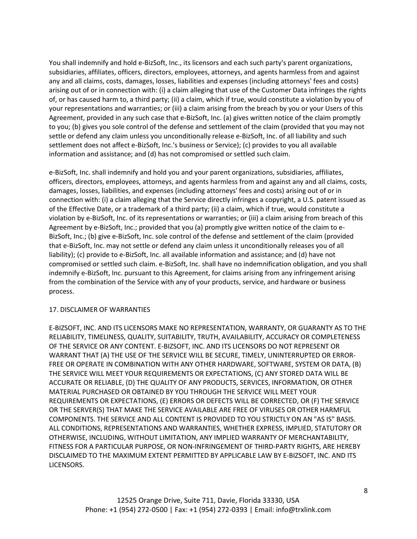You shall indemnify and hold e-BizSoft, Inc., its licensors and each such party's parent organizations, subsidiaries, affiliates, officers, directors, employees, attorneys, and agents harmless from and against any and all claims, costs, damages, losses, liabilities and expenses (including attorneys' fees and costs) arising out of or in connection with: (i) a claim alleging that use of the Customer Data infringes the rights of, or has caused harm to, a third party; (ii) a claim, which if true, would constitute a violation by you of your representations and warranties; or (iii) a claim arising from the breach by you or your Users of this Agreement, provided in any such case that e-BizSoft, Inc. (a) gives written notice of the claim promptly to you; (b) gives you sole control of the defense and settlement of the claim (provided that you may not settle or defend any claim unless you unconditionally release e-BizSoft, Inc. of all liability and such settlement does not affect e-BizSoft, Inc.'s business or Service); (c) provides to you all available information and assistance; and (d) has not compromised or settled such claim.

e-BizSoft, Inc. shall indemnify and hold you and your parent organizations, subsidiaries, affiliates, officers, directors, employees, attorneys, and agents harmless from and against any and all claims, costs, damages, losses, liabilities, and expenses (including attorneys' fees and costs) arising out of or in connection with: (i) a claim alleging that the Service directly infringes a copyright, a U.S. patent issued as of the Effective Date, or a trademark of a third party; (ii) a claim, which if true, would constitute a violation by e-BizSoft, Inc. of its representations or warranties; or (iii) a claim arising from breach of this Agreement by e-BizSoft, Inc.; provided that you (a) promptly give written notice of the claim to e-BizSoft, Inc.; (b) give e-BizSoft, Inc. sole control of the defense and settlement of the claim (provided that e-BizSoft, Inc. may not settle or defend any claim unless it unconditionally releases you of all liability); (c) provide to e-BizSoft, Inc. all available information and assistance; and (d) have not compromised or settled such claim. e-BizSoft, Inc. shall have no indemnification obligation, and you shall indemnify e-BizSoft, Inc. pursuant to this Agreement, for claims arising from any infringement arising from the combination of the Service with any of your products, service, and hardware or business process.

# 17. DISCLAIMER OF WARRANTIES

E-BIZSOFT, INC. AND ITS LICENSORS MAKE NO REPRESENTATION, WARRANTY, OR GUARANTY AS TO THE RELIABILITY, TIMELINESS, QUALITY, SUITABILITY, TRUTH, AVAILABILITY, ACCURACY OR COMPLETENESS OF THE SERVICE OR ANY CONTENT. E-BIZSOFT, INC. AND ITS LICENSORS DO NOT REPRESENT OR WARRANT THAT (A) THE USE OF THE SERVICE WILL BE SECURE, TIMELY, UNINTERRUPTED OR ERROR-FREE OR OPERATE IN COMBINATION WITH ANY OTHER HARDWARE, SOFTWARE, SYSTEM OR DATA, (B) THE SERVICE WILL MEET YOUR REQUIREMENTS OR EXPECTATIONS, (C) ANY STORED DATA WILL BE ACCURATE OR RELIABLE, (D) THE QUALITY OF ANY PRODUCTS, SERVICES, INFORMATION, OR OTHER MATERIAL PURCHASED OR OBTAINED BY YOU THROUGH THE SERVICE WILL MEET YOUR REQUIREMENTS OR EXPECTATIONS, (E) ERRORS OR DEFECTS WILL BE CORRECTED, OR (F) THE SERVICE OR THE SERVER(S) THAT MAKE THE SERVICE AVAILABLE ARE FREE OF VIRUSES OR OTHER HARMFUL COMPONENTS. THE SERVICE AND ALL CONTENT IS PROVIDED TO YOU STRICTLY ON AN "AS IS" BASIS. ALL CONDITIONS, REPRESENTATIONS AND WARRANTIES, WHETHER EXPRESS, IMPLIED, STATUTORY OR OTHERWISE, INCLUDING, WITHOUT LIMITATION, ANY IMPLIED WARRANTY OF MERCHANTABILITY, FITNESS FOR A PARTICULAR PURPOSE, OR NON-INFRINGEMENT OF THIRD-PARTY RIGHTS, ARE HEREBY DISCLAIMED TO THE MAXIMUM EXTENT PERMITTED BY APPLICABLE LAW BY E-BIZSOFT, INC. AND ITS LICENSORS.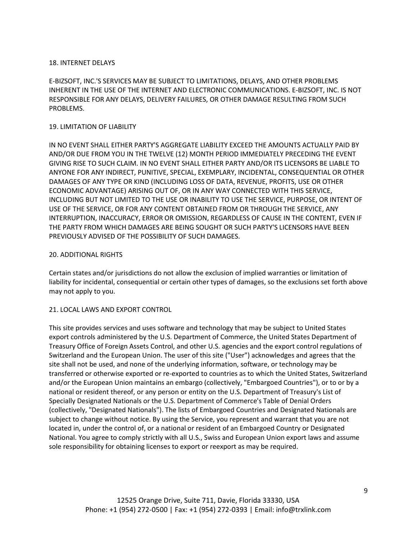## 18. INTERNET DELAYS

E-BIZSOFT, INC.'S SERVICES MAY BE SUBJECT TO LIMITATIONS, DELAYS, AND OTHER PROBLEMS INHERENT IN THE USE OF THE INTERNET AND ELECTRONIC COMMUNICATIONS. E-BIZSOFT, INC. IS NOT RESPONSIBLE FOR ANY DELAYS, DELIVERY FAILURES, OR OTHER DAMAGE RESULTING FROM SUCH PROBLEMS.

### 19. LIMITATION OF LIABILITY

IN NO EVENT SHALL EITHER PARTY'S AGGREGATE LIABILITY EXCEED THE AMOUNTS ACTUALLY PAID BY AND/OR DUE FROM YOU IN THE TWELVE (12) MONTH PERIOD IMMEDIATELY PRECEDING THE EVENT GIVING RISE TO SUCH CLAIM. IN NO EVENT SHALL EITHER PARTY AND/OR ITS LICENSORS BE LIABLE TO ANYONE FOR ANY INDIRECT, PUNITIVE, SPECIAL, EXEMPLARY, INCIDENTAL, CONSEQUENTIAL OR OTHER DAMAGES OF ANY TYPE OR KIND (INCLUDING LOSS OF DATA, REVENUE, PROFITS, USE OR OTHER ECONOMIC ADVANTAGE) ARISING OUT OF, OR IN ANY WAY CONNECTED WITH THIS SERVICE, INCLUDING BUT NOT LIMITED TO THE USE OR INABILITY TO USE THE SERVICE, PURPOSE, OR INTENT OF USE OF THE SERVICE, OR FOR ANY CONTENT OBTAINED FROM OR THROUGH THE SERVICE, ANY INTERRUPTION, INACCURACY, ERROR OR OMISSION, REGARDLESS OF CAUSE IN THE CONTENT, EVEN IF THE PARTY FROM WHICH DAMAGES ARE BEING SOUGHT OR SUCH PARTY'S LICENSORS HAVE BEEN PREVIOUSLY ADVISED OF THE POSSIBILITY OF SUCH DAMAGES.

#### 20. ADDITIONAL RIGHTS

Certain states and/or jurisdictions do not allow the exclusion of implied warranties or limitation of liability for incidental, consequential or certain other types of damages, so the exclusions set forth above may not apply to you.

## 21. LOCAL LAWS AND EXPORT CONTROL

This site provides services and uses software and technology that may be subject to United States export controls administered by the U.S. Department of Commerce, the United States Department of Treasury Office of Foreign Assets Control, and other U.S. agencies and the export control regulations of Switzerland and the European Union. The user of this site ("User") acknowledges and agrees that the site shall not be used, and none of the underlying information, software, or technology may be transferred or otherwise exported or re-exported to countries as to which the United States, Switzerland and/or the European Union maintains an embargo (collectively, "Embargoed Countries"), or to or by a national or resident thereof, or any person or entity on the U.S. Department of Treasury's List of Specially Designated Nationals or the U.S. Department of Commerce's Table of Denial Orders (collectively, "Designated Nationals"). The lists of Embargoed Countries and Designated Nationals are subject to change without notice. By using the Service, you represent and warrant that you are not located in, under the control of, or a national or resident of an Embargoed Country or Designated National. You agree to comply strictly with all U.S., Swiss and European Union export laws and assume sole responsibility for obtaining licenses to export or reexport as may be required.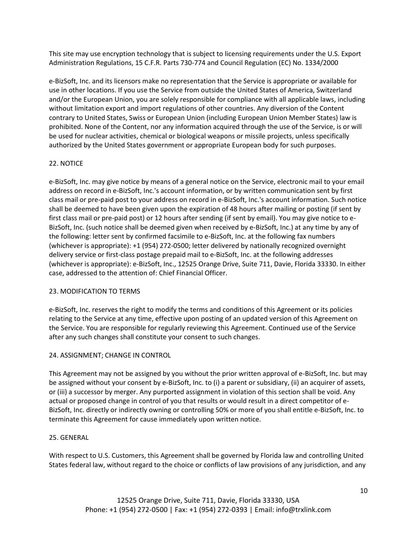This site may use encryption technology that is subject to licensing requirements under the U.S. Export Administration Regulations, 15 C.F.R. Parts 730-774 and Council Regulation (EC) No. 1334/2000

e-BizSoft, Inc. and its licensors make no representation that the Service is appropriate or available for use in other locations. If you use the Service from outside the United States of America, Switzerland and/or the European Union, you are solely responsible for compliance with all applicable laws, including without limitation export and import regulations of other countries. Any diversion of the Content contrary to United States, Swiss or European Union (including European Union Member States) law is prohibited. None of the Content, nor any information acquired through the use of the Service, is or will be used for nuclear activities, chemical or biological weapons or missile projects, unless specifically authorized by the United States government or appropriate European body for such purposes.

# 22. NOTICE

e-BizSoft, Inc. may give notice by means of a general notice on the Service, electronic mail to your email address on record in e-BizSoft, Inc.'s account information, or by written communication sent by first class mail or pre-paid post to your address on record in e-BizSoft, Inc.'s account information. Such notice shall be deemed to have been given upon the expiration of 48 hours after mailing or posting (if sent by first class mail or pre-paid post) or 12 hours after sending (if sent by email). You may give notice to e-BizSoft, Inc. (such notice shall be deemed given when received by e-BizSoft, Inc.) at any time by any of the following: letter sent by confirmed facsimile to e-BizSoft, Inc. at the following fax numbers (whichever is appropriate): +1 (954) 272-0500; letter delivered by nationally recognized overnight delivery service or first-class postage prepaid mail to e-BizSoft, Inc. at the following addresses (whichever is appropriate): e-BizSoft, Inc., 12525 Orange Drive, Suite 711, Davie, Florida 33330. In either case, addressed to the attention of: Chief Financial Officer.

# 23. MODIFICATION TO TERMS

e-BizSoft, Inc. reserves the right to modify the terms and conditions of this Agreement or its policies relating to the Service at any time, effective upon posting of an updated version of this Agreement on the Service. You are responsible for regularly reviewing this Agreement. Continued use of the Service after any such changes shall constitute your consent to such changes.

## 24. ASSIGNMENT; CHANGE IN CONTROL

This Agreement may not be assigned by you without the prior written approval of e-BizSoft, Inc. but may be assigned without your consent by e-BizSoft, Inc. to (i) a parent or subsidiary, (ii) an acquirer of assets, or (iii) a successor by merger. Any purported assignment in violation of this section shall be void. Any actual or proposed change in control of you that results or would result in a direct competitor of e-BizSoft, Inc. directly or indirectly owning or controlling 50% or more of you shall entitle e-BizSoft, Inc. to terminate this Agreement for cause immediately upon written notice.

## 25. GENERAL

With respect to U.S. Customers, this Agreement shall be governed by Florida law and controlling United States federal law, without regard to the choice or conflicts of law provisions of any jurisdiction, and any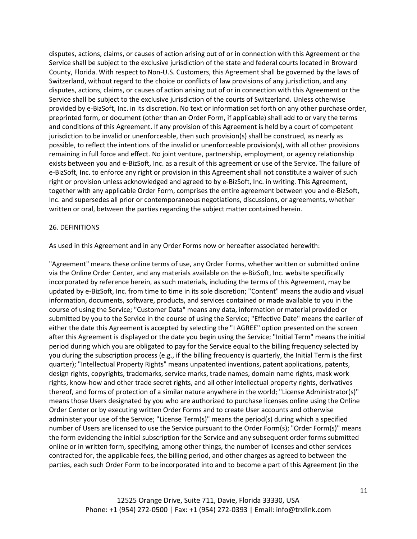disputes, actions, claims, or causes of action arising out of or in connection with this Agreement or the Service shall be subject to the exclusive jurisdiction of the state and federal courts located in Broward County, Florida. With respect to Non-U.S. Customers, this Agreement shall be governed by the laws of Switzerland, without regard to the choice or conflicts of law provisions of any jurisdiction, and any disputes, actions, claims, or causes of action arising out of or in connection with this Agreement or the Service shall be subject to the exclusive jurisdiction of the courts of Switzerland. Unless otherwise provided by e-BizSoft, Inc. in its discretion. No text or information set forth on any other purchase order, preprinted form, or document (other than an Order Form, if applicable) shall add to or vary the terms and conditions of this Agreement. If any provision of this Agreement is held by a court of competent jurisdiction to be invalid or unenforceable, then such provision(s) shall be construed, as nearly as possible, to reflect the intentions of the invalid or unenforceable provision(s), with all other provisions remaining in full force and effect. No joint venture, partnership, employment, or agency relationship exists between you and e-BizSoft, Inc. as a result of this agreement or use of the Service. The failure of e-BizSoft, Inc. to enforce any right or provision in this Agreement shall not constitute a waiver of such right or provision unless acknowledged and agreed to by e-BizSoft, Inc. in writing. This Agreement, together with any applicable Order Form, comprises the entire agreement between you and e-BizSoft, Inc. and supersedes all prior or contemporaneous negotiations, discussions, or agreements, whether written or oral, between the parties regarding the subject matter contained herein.

#### 26. DEFINITIONS

As used in this Agreement and in any Order Forms now or hereafter associated herewith:

"Agreement" means these online terms of use, any Order Forms, whether written or submitted online via the Online Order Center, and any materials available on the e-BizSoft, Inc. website specifically incorporated by reference herein, as such materials, including the terms of this Agreement, may be updated by e-BizSoft, Inc. from time to time in its sole discretion; "Content" means the audio and visual information, documents, software, products, and services contained or made available to you in the course of using the Service; "Customer Data" means any data, information or material provided or submitted by you to the Service in the course of using the Service; "Effective Date" means the earlier of either the date this Agreement is accepted by selecting the "I AGREE" option presented on the screen after this Agreement is displayed or the date you begin using the Service; "Initial Term" means the initial period during which you are obligated to pay for the Service equal to the billing frequency selected by you during the subscription process (e.g., if the billing frequency is quarterly, the Initial Term is the first quarter); "Intellectual Property Rights" means unpatented inventions, patent applications, patents, design rights, copyrights, trademarks, service marks, trade names, domain name rights, mask work rights, know-how and other trade secret rights, and all other intellectual property rights, derivatives thereof, and forms of protection of a similar nature anywhere in the world; "License Administrator(s)" means those Users designated by you who are authorized to purchase licenses online using the Online Order Center or by executing written Order Forms and to create User accounts and otherwise administer your use of the Service; "License Term(s)" means the period(s) during which a specified number of Users are licensed to use the Service pursuant to the Order Form(s); "Order Form(s)" means the form evidencing the initial subscription for the Service and any subsequent order forms submitted online or in written form, specifying, among other things, the number of licenses and other services contracted for, the applicable fees, the billing period, and other charges as agreed to between the parties, each such Order Form to be incorporated into and to become a part of this Agreement (in the